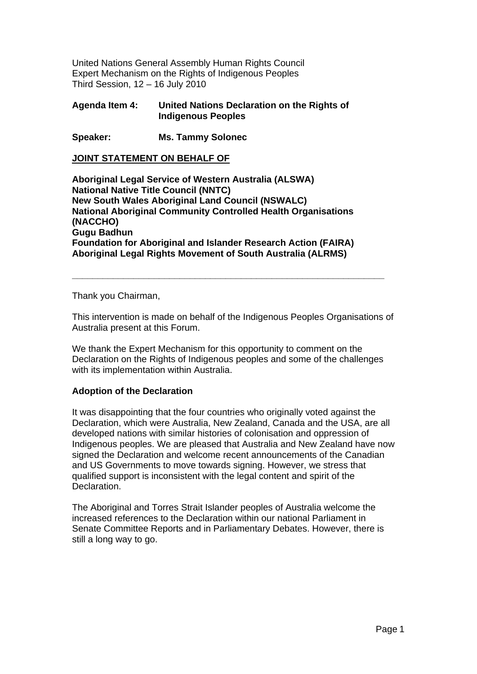United Nations General Assembly Human Rights Council Expert Mechanism on the Rights of Indigenous Peoples Third Session, 12 – 16 July 2010

### **Agenda Item 4: United Nations Declaration on the Rights of Indigenous Peoples**

**Speaker: Ms. Tammy Solonec** 

**JOINT STATEMENT ON BEHALF OF**

**Aboriginal Legal Service of Western Australia (ALSWA) National Native Title Council (NNTC) New South Wales Aboriginal Land Council (NSWALC) National Aboriginal Community Controlled Health Organisations (NACCHO) Gugu Badhun Foundation for Aboriginal and Islander Research Action (FAIRA) Aboriginal Legal Rights Movement of South Australia (ALRMS)** 

Thank you Chairman,

This intervention is made on behalf of the Indigenous Peoples Organisations of Australia present at this Forum.

**\_\_\_\_\_\_\_\_\_\_\_\_\_\_\_\_\_\_\_\_\_\_\_\_\_\_\_\_\_\_\_\_\_\_\_\_\_\_\_\_\_\_\_\_\_\_\_\_\_\_\_\_\_\_\_\_\_\_\_\_\_** 

We thank the Expert Mechanism for this opportunity to comment on the Declaration on the Rights of Indigenous peoples and some of the challenges with its implementation within Australia.

#### **Adoption of the Declaration**

It was disappointing that the four countries who originally voted against the Declaration, which were Australia, New Zealand, Canada and the USA, are all developed nations with similar histories of colonisation and oppression of Indigenous peoples. We are pleased that Australia and New Zealand have now signed the Declaration and welcome recent announcements of the Canadian and US Governments to move towards signing. However, we stress that qualified support is inconsistent with the legal content and spirit of the Declaration.

The Aboriginal and Torres Strait Islander peoples of Australia welcome the increased references to the Declaration within our national Parliament in Senate Committee Reports and in Parliamentary Debates. However, there is still a long way to go.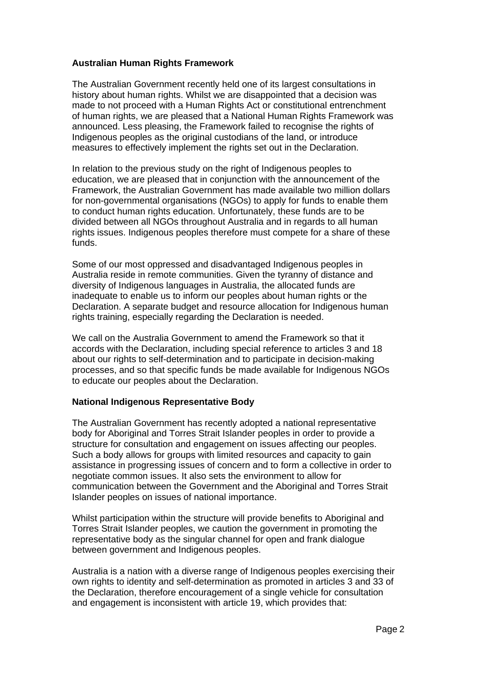### **Australian Human Rights Framework**

The Australian Government recently held one of its largest consultations in history about human rights. Whilst we are disappointed that a decision was made to not proceed with a Human Rights Act or constitutional entrenchment of human rights, we are pleased that a National Human Rights Framework was announced. Less pleasing, the Framework failed to recognise the rights of Indigenous peoples as the original custodians of the land, or introduce measures to effectively implement the rights set out in the Declaration.

In relation to the previous study on the right of Indigenous peoples to education, we are pleased that in conjunction with the announcement of the Framework, the Australian Government has made available two million dollars for non-governmental organisations (NGOs) to apply for funds to enable them to conduct human rights education. Unfortunately, these funds are to be divided between all NGOs throughout Australia and in regards to all human rights issues. Indigenous peoples therefore must compete for a share of these funds.

Some of our most oppressed and disadvantaged Indigenous peoples in Australia reside in remote communities. Given the tyranny of distance and diversity of Indigenous languages in Australia, the allocated funds are inadequate to enable us to inform our peoples about human rights or the Declaration. A separate budget and resource allocation for Indigenous human rights training, especially regarding the Declaration is needed.

We call on the Australia Government to amend the Framework so that it accords with the Declaration, including special reference to articles 3 and 18 about our rights to self-determination and to participate in decision-making processes, and so that specific funds be made available for Indigenous NGOs to educate our peoples about the Declaration.

# **National Indigenous Representative Body**

The Australian Government has recently adopted a national representative body for Aboriginal and Torres Strait Islander peoples in order to provide a structure for consultation and engagement on issues affecting our peoples. Such a body allows for groups with limited resources and capacity to gain assistance in progressing issues of concern and to form a collective in order to negotiate common issues. It also sets the environment to allow for communication between the Government and the Aboriginal and Torres Strait Islander peoples on issues of national importance.

Whilst participation within the structure will provide benefits to Aboriginal and Torres Strait Islander peoples, we caution the government in promoting the representative body as the singular channel for open and frank dialogue between government and Indigenous peoples.

Australia is a nation with a diverse range of Indigenous peoples exercising their own rights to identity and self-determination as promoted in articles 3 and 33 of the Declaration, therefore encouragement of a single vehicle for consultation and engagement is inconsistent with article 19, which provides that: